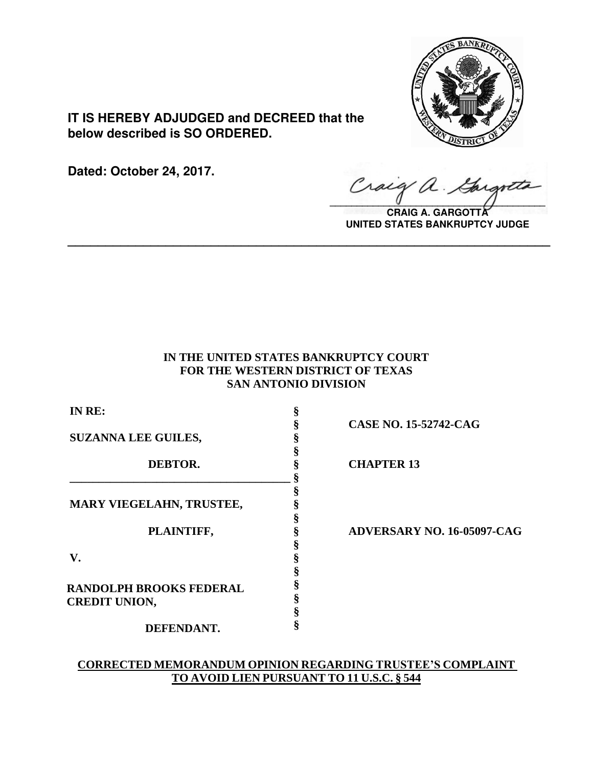

**IT IS HEREBY ADJUDGED and DECREED that the below described is SO ORDERED.**

**Dated: October 24, 2017.**

Craig a Gargo

**CRAIG A. GARGOTTA UNITED STATES BANKRUPTCY JUDGE**

# **IN THE UNITED STATES BANKRUPTCY COURT FOR THE WESTERN DISTRICT OF TEXAS SAN ANTONIO DIVISION**

**\_\_\_\_\_\_\_\_\_\_\_\_\_\_\_\_\_\_\_\_\_\_\_\_\_\_\_\_\_\_\_\_\_\_\_\_\_\_\_\_\_\_\_\_\_\_\_\_\_\_\_\_\_\_\_\_\_\_\_\_\_\_\_\_**

| IN RE:                                | §                  |
|---------------------------------------|--------------------|
|                                       | §                  |
| <b>SUZANNA LEE GUILES,</b><br>DEBTOR. | $\S$               |
|                                       | §                  |
|                                       | §                  |
|                                       | §                  |
|                                       | §                  |
| <b>MARY VIEGELAHN, TRUSTEE,</b>       | §                  |
|                                       | §                  |
| PLAINTIFF,                            | §                  |
|                                       | §                  |
| V.                                    |                    |
|                                       |                    |
| <b>RANDOLPH BROOKS FEDERAL</b>        | <b>S</b><br>S<br>S |
| <b>CREDIT UNION,</b>                  | Ş                  |
|                                       | §                  |
| DEFENDANT.                            | §                  |

**§ CASE NO. 15-52742-CAG**

**DEBTOR. § CHAPTER 13**

**PLAINTIFF, § ADVERSARY NO. 16-05097-CAG**

# **CORRECTED MEMORANDUM OPINION REGARDING TRUSTEE'S COMPLAINT TO AVOID LIEN PURSUANT TO 11 U.S.C. § 544**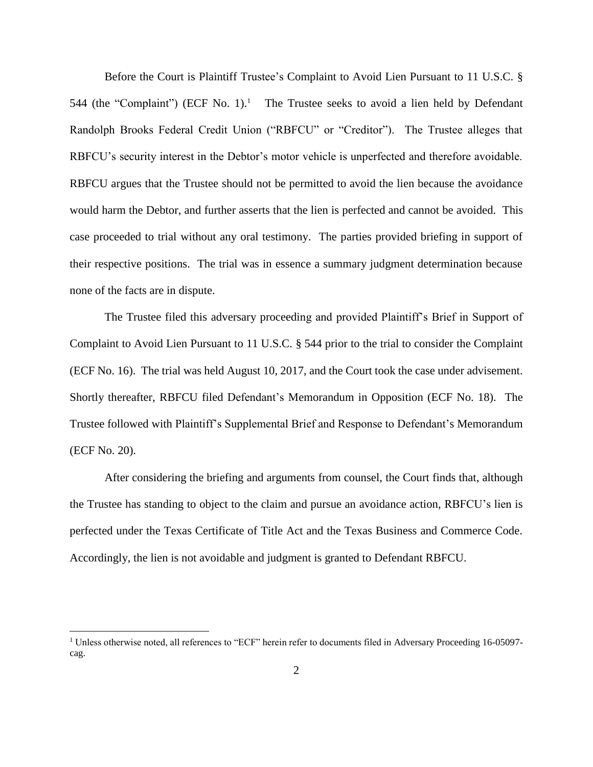Before the Court is Plaintiff Trustee's Complaint to Avoid Lien Pursuant to 11 U.S.C. § 544 (the "Complaint") (ECF No. 1).<sup>1</sup> The Trustee seeks to avoid a lien held by Defendant Randolph Brooks Federal Credit Union ("RBFCU" or "Creditor"). The Trustee alleges that RBFCU's security interest in the Debtor's motor vehicle is unperfected and therefore avoidable. RBFCU argues that the Trustee should not be permitted to avoid the lien because the avoidance would harm the Debtor, and further asserts that the lien is perfected and cannot be avoided. This case proceeded to trial without any oral testimony. The parties provided briefing in support of their respective positions. The trial was in essence a summary judgment determination because none of the facts are in dispute.

The Trustee filed this adversary proceeding and provided Plaintiff's Brief in Support of Complaint to Avoid Lien Pursuant to 11 U.S.C. § 544 prior to the trial to consider the Complaint (ECF No. 16). The trial was held August 10, 2017, and the Court took the case under advisement. Shortly thereafter, RBFCU filed Defendant's Memorandum in Opposition (ECF No. 18). The Trustee followed with Plaintiff's Supplemental Brief and Response to Defendant's Memorandum (ECF No. 20).

After considering the briefing and arguments from counsel, the Court finds that, although the Trustee has standing to object to the claim and pursue an avoidance action, RBFCU's lien is perfected under the Texas Certificate of Title Act and the Texas Business and Commerce Code. Accordingly, the lien is not avoidable and judgment is granted to Defendant RBFCU.

<sup>&</sup>lt;sup>1</sup> Unless otherwise noted, all references to "ECF" herein refer to documents filed in Adversary Proceeding 16-05097cag.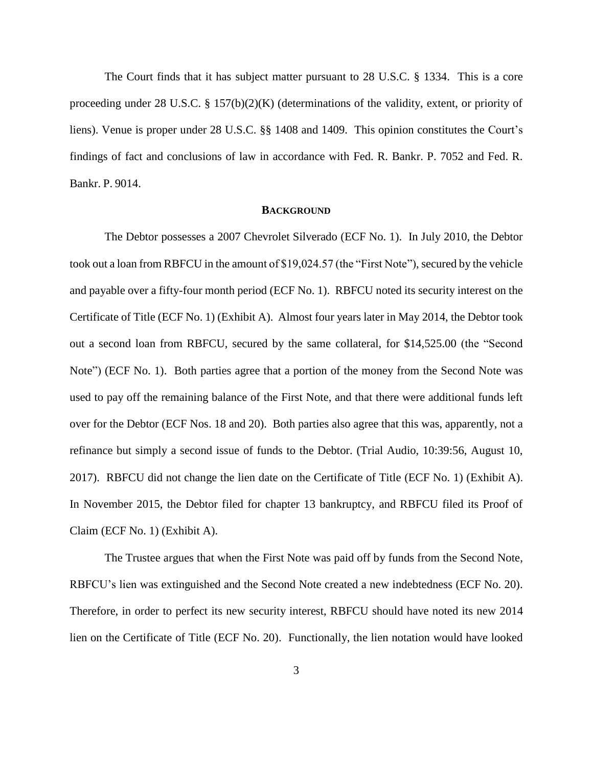The Court finds that it has subject matter pursuant to 28 U.S.C. § 1334. This is a core proceeding under 28 U.S.C. § 157(b)(2)(K) (determinations of the validity, extent, or priority of liens). Venue is proper under 28 U.S.C. §§ 1408 and 1409. This opinion constitutes the Court's findings of fact and conclusions of law in accordance with Fed. R. Bankr. P. 7052 and Fed. R. Bankr. P. 9014.

### **BACKGROUND**

The Debtor possesses a 2007 Chevrolet Silverado (ECF No. 1). In July 2010, the Debtor took out a loan from RBFCU in the amount of \$19,024.57 (the "First Note"), secured by the vehicle and payable over a fifty-four month period (ECF No. 1). RBFCU noted its security interest on the Certificate of Title (ECF No. 1) (Exhibit A). Almost four years later in May 2014, the Debtor took out a second loan from RBFCU, secured by the same collateral, for \$14,525.00 (the "Second Note") (ECF No. 1). Both parties agree that a portion of the money from the Second Note was used to pay off the remaining balance of the First Note, and that there were additional funds left over for the Debtor (ECF Nos. 18 and 20). Both parties also agree that this was, apparently, not a refinance but simply a second issue of funds to the Debtor. (Trial Audio, 10:39:56, August 10, 2017). RBFCU did not change the lien date on the Certificate of Title (ECF No. 1) (Exhibit A). In November 2015, the Debtor filed for chapter 13 bankruptcy, and RBFCU filed its Proof of Claim (ECF No. 1) (Exhibit A).

The Trustee argues that when the First Note was paid off by funds from the Second Note, RBFCU's lien was extinguished and the Second Note created a new indebtedness (ECF No. 20). Therefore, in order to perfect its new security interest, RBFCU should have noted its new 2014 lien on the Certificate of Title (ECF No. 20). Functionally, the lien notation would have looked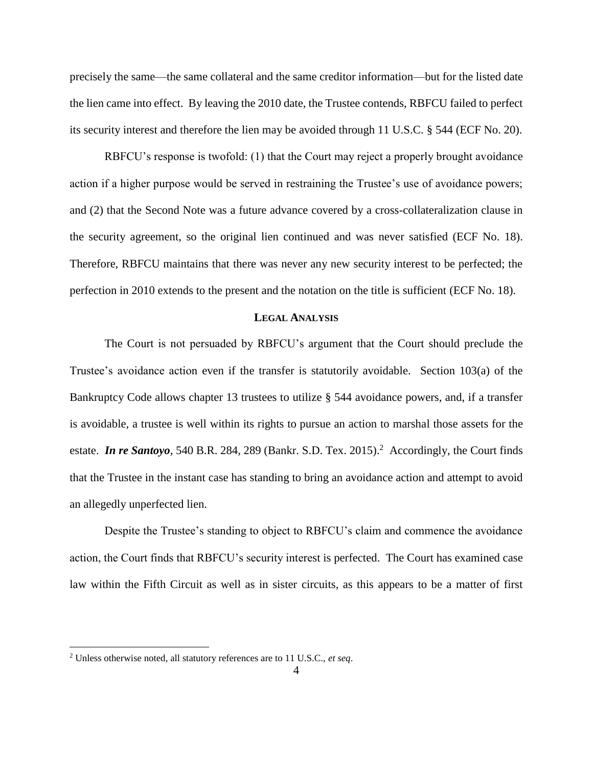precisely the same—the same collateral and the same creditor information—but for the listed date the lien came into effect. By leaving the 2010 date, the Trustee contends, RBFCU failed to perfect its security interest and therefore the lien may be avoided through 11 U.S.C. § 544 (ECF No. 20).

RBFCU's response is twofold: (1) that the Court may reject a properly brought avoidance action if a higher purpose would be served in restraining the Trustee's use of avoidance powers; and (2) that the Second Note was a future advance covered by a cross-collateralization clause in the security agreement, so the original lien continued and was never satisfied (ECF No. 18). Therefore, RBFCU maintains that there was never any new security interest to be perfected; the perfection in 2010 extends to the present and the notation on the title is sufficient (ECF No. 18).

# **LEGAL ANALYSIS**

The Court is not persuaded by RBFCU's argument that the Court should preclude the Trustee's avoidance action even if the transfer is statutorily avoidable. Section 103(a) of the Bankruptcy Code allows chapter 13 trustees to utilize § 544 avoidance powers, and, if a transfer is avoidable, a trustee is well within its rights to pursue an action to marshal those assets for the estate. *In re Santoyo*, 540 B.R. 284, 289 (Bankr. S.D. Tex. 2015).<sup>2</sup> Accordingly, the Court finds that the Trustee in the instant case has standing to bring an avoidance action and attempt to avoid an allegedly unperfected lien.

Despite the Trustee's standing to object to RBFCU's claim and commence the avoidance action, the Court finds that RBFCU's security interest is perfected. The Court has examined case law within the Fifth Circuit as well as in sister circuits, as this appears to be a matter of first

<sup>2</sup> Unless otherwise noted, all statutory references are to 11 U.S.C., *et seq*.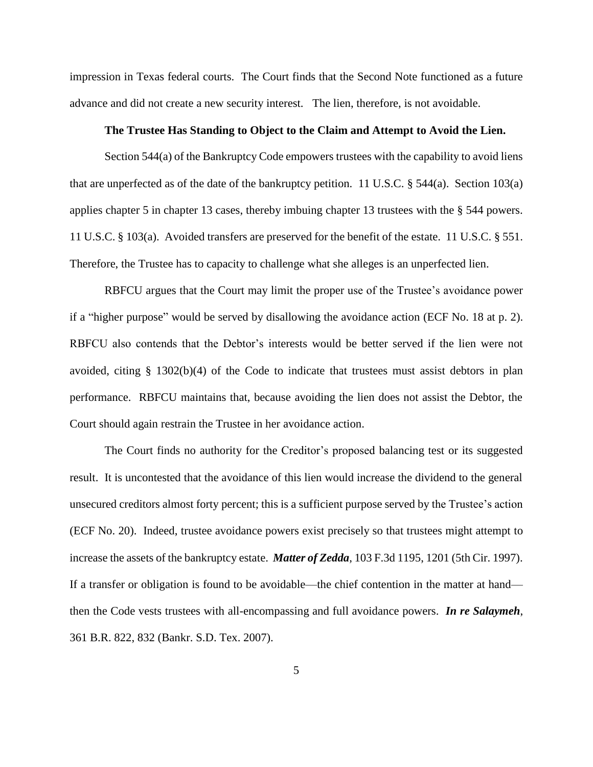impression in Texas federal courts. The Court finds that the Second Note functioned as a future advance and did not create a new security interest. The lien, therefore, is not avoidable.

#### **The Trustee Has Standing to Object to the Claim and Attempt to Avoid the Lien.**

Section 544(a) of the Bankruptcy Code empowers trustees with the capability to avoid liens that are unperfected as of the date of the bankruptcy petition. 11 U.S.C.  $\S$  544(a). Section 103(a) applies chapter 5 in chapter 13 cases, thereby imbuing chapter 13 trustees with the § 544 powers. 11 U.S.C. § 103(a). Avoided transfers are preserved for the benefit of the estate. 11 U.S.C. § 551. Therefore, the Trustee has to capacity to challenge what she alleges is an unperfected lien.

RBFCU argues that the Court may limit the proper use of the Trustee's avoidance power if a "higher purpose" would be served by disallowing the avoidance action (ECF No. 18 at p. 2). RBFCU also contends that the Debtor's interests would be better served if the lien were not avoided, citing  $\S$  1302(b)(4) of the Code to indicate that trustees must assist debtors in plan performance. RBFCU maintains that, because avoiding the lien does not assist the Debtor, the Court should again restrain the Trustee in her avoidance action.

The Court finds no authority for the Creditor's proposed balancing test or its suggested result. It is uncontested that the avoidance of this lien would increase the dividend to the general unsecured creditors almost forty percent; this is a sufficient purpose served by the Trustee's action (ECF No. 20). Indeed, trustee avoidance powers exist precisely so that trustees might attempt to increase the assets of the bankruptcy estate. *Matter of Zedda*, 103 F.3d 1195, 1201 (5th Cir. 1997). If a transfer or obligation is found to be avoidable—the chief contention in the matter at hand then the Code vests trustees with all-encompassing and full avoidance powers. *In re Salaymeh*, 361 B.R. 822, 832 (Bankr. S.D. Tex. 2007).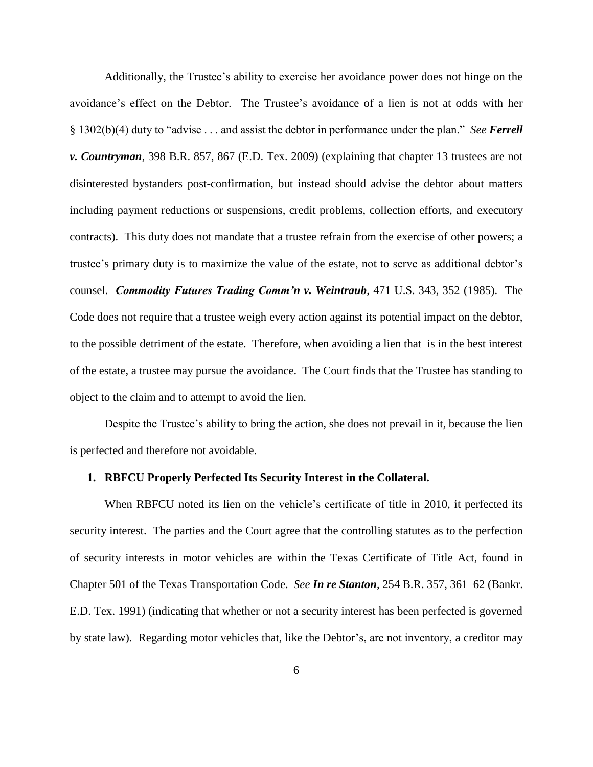Additionally, the Trustee's ability to exercise her avoidance power does not hinge on the avoidance's effect on the Debtor. The Trustee's avoidance of a lien is not at odds with her § 1302(b)(4) duty to "advise . . . and assist the debtor in performance under the plan." *See Ferrell v. Countryman*, 398 B.R. 857, 867 (E.D. Tex. 2009) (explaining that chapter 13 trustees are not disinterested bystanders post-confirmation, but instead should advise the debtor about matters including payment reductions or suspensions, credit problems, collection efforts, and executory contracts). This duty does not mandate that a trustee refrain from the exercise of other powers; a trustee's primary duty is to maximize the value of the estate, not to serve as additional debtor's counsel. *Commodity Futures Trading Comm'n v. Weintraub*, 471 U.S. 343, 352 (1985). The Code does not require that a trustee weigh every action against its potential impact on the debtor, to the possible detriment of the estate. Therefore, when avoiding a lien that is in the best interest of the estate, a trustee may pursue the avoidance. The Court finds that the Trustee has standing to object to the claim and to attempt to avoid the lien.

Despite the Trustee's ability to bring the action, she does not prevail in it, because the lien is perfected and therefore not avoidable.

#### **1. RBFCU Properly Perfected Its Security Interest in the Collateral.**

When RBFCU noted its lien on the vehicle's certificate of title in 2010, it perfected its security interest. The parties and the Court agree that the controlling statutes as to the perfection of security interests in motor vehicles are within the Texas Certificate of Title Act, found in Chapter 501 of the Texas Transportation Code. *See In re Stanton*, 254 B.R. 357, 361–62 (Bankr. E.D. Tex. 1991) (indicating that whether or not a security interest has been perfected is governed by state law). Regarding motor vehicles that, like the Debtor's, are not inventory, a creditor may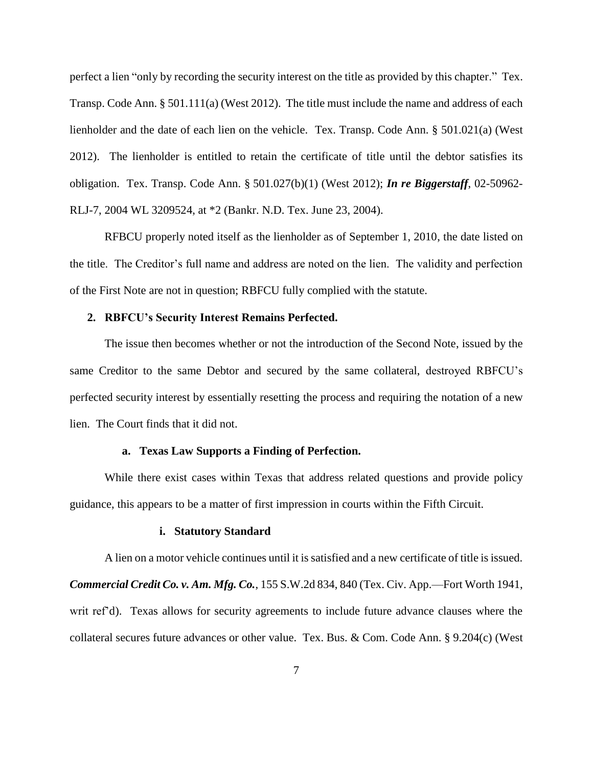perfect a lien "only by recording the security interest on the title as provided by this chapter." Tex. Transp. Code Ann. § 501.111(a) (West 2012). The title must include the name and address of each lienholder and the date of each lien on the vehicle. Tex. Transp. Code Ann. § 501.021(a) (West 2012). The lienholder is entitled to retain the certificate of title until the debtor satisfies its obligation. Tex. Transp. Code Ann. § 501.027(b)(1) (West 2012); *In re Biggerstaff*, 02-50962- RLJ-7, 2004 WL 3209524, at \*2 (Bankr. N.D. Tex. June 23, 2004).

RFBCU properly noted itself as the lienholder as of September 1, 2010, the date listed on the title. The Creditor's full name and address are noted on the lien. The validity and perfection of the First Note are not in question; RBFCU fully complied with the statute.

# **2. RBFCU's Security Interest Remains Perfected.**

The issue then becomes whether or not the introduction of the Second Note, issued by the same Creditor to the same Debtor and secured by the same collateral, destroyed RBFCU's perfected security interest by essentially resetting the process and requiring the notation of a new lien. The Court finds that it did not.

#### **a. Texas Law Supports a Finding of Perfection.**

While there exist cases within Texas that address related questions and provide policy guidance, this appears to be a matter of first impression in courts within the Fifth Circuit.

#### **i. Statutory Standard**

A lien on a motor vehicle continues until it is satisfied and a new certificate of title is issued. *Commercial Credit Co. v. Am. Mfg. Co.*, 155 S.W.2d 834, 840 (Tex. Civ. App.—Fort Worth 1941, writ ref'd). Texas allows for security agreements to include future advance clauses where the collateral secures future advances or other value. Tex. Bus. & Com. Code Ann. § 9.204(c) (West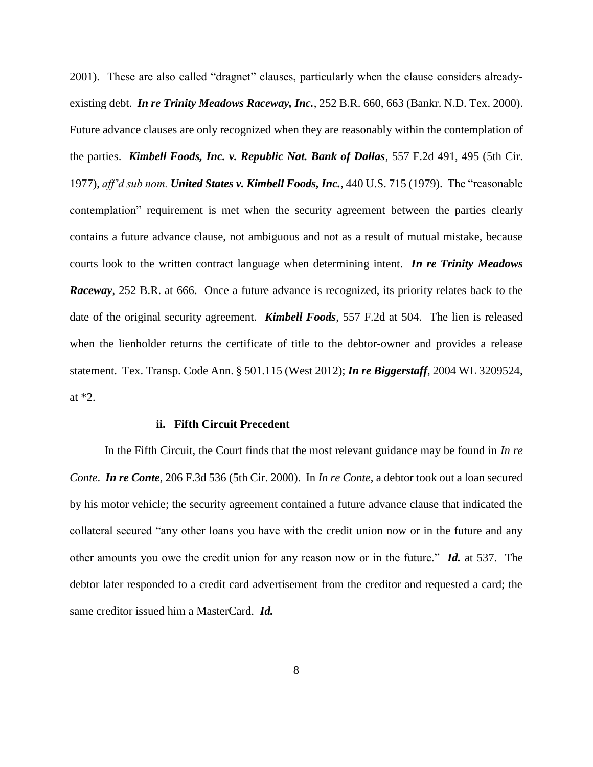2001). These are also called "dragnet" clauses, particularly when the clause considers alreadyexisting debt. *In re Trinity Meadows Raceway, Inc.*, 252 B.R. 660, 663 (Bankr. N.D. Tex. 2000). Future advance clauses are only recognized when they are reasonably within the contemplation of the parties. *Kimbell Foods, Inc. v. Republic Nat. Bank of Dallas*, 557 F.2d 491, 495 (5th Cir. 1977), *aff'd sub nom. United States v. Kimbell Foods, Inc.*, 440 U.S. 715 (1979). The "reasonable contemplation" requirement is met when the security agreement between the parties clearly contains a future advance clause, not ambiguous and not as a result of mutual mistake, because courts look to the written contract language when determining intent. *In re Trinity Meadows Raceway*, 252 B.R. at 666. Once a future advance is recognized, its priority relates back to the date of the original security agreement. *Kimbell Foods*, 557 F.2d at 504. The lien is released when the lienholder returns the certificate of title to the debtor-owner and provides a release statement. Tex. Transp. Code Ann. § 501.115 (West 2012); *In re Biggerstaff*, 2004 WL 3209524, at \*2.

#### **ii. Fifth Circuit Precedent**

In the Fifth Circuit, the Court finds that the most relevant guidance may be found in *In re Conte*. *In re Conte*, 206 F.3d 536 (5th Cir. 2000). In *In re Conte*, a debtor took out a loan secured by his motor vehicle; the security agreement contained a future advance clause that indicated the collateral secured "any other loans you have with the credit union now or in the future and any other amounts you owe the credit union for any reason now or in the future." *Id.* at 537. The debtor later responded to a credit card advertisement from the creditor and requested a card; the same creditor issued him a MasterCard. *Id.*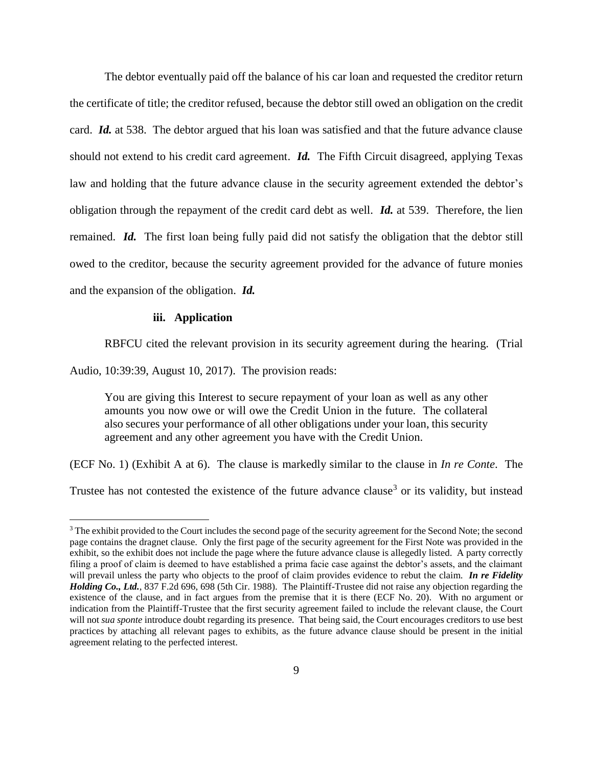The debtor eventually paid off the balance of his car loan and requested the creditor return the certificate of title; the creditor refused, because the debtor still owed an obligation on the credit card. *Id.* at 538. The debtor argued that his loan was satisfied and that the future advance clause should not extend to his credit card agreement. *Id.* The Fifth Circuit disagreed, applying Texas law and holding that the future advance clause in the security agreement extended the debtor's obligation through the repayment of the credit card debt as well. *Id.* at 539. Therefore, the lien remained. *Id.* The first loan being fully paid did not satisfy the obligation that the debtor still owed to the creditor, because the security agreement provided for the advance of future monies and the expansion of the obligation. *Id.*

### **iii. Application**

 $\overline{a}$ 

RBFCU cited the relevant provision in its security agreement during the hearing. (Trial

Audio, 10:39:39, August 10, 2017). The provision reads:

You are giving this Interest to secure repayment of your loan as well as any other amounts you now owe or will owe the Credit Union in the future. The collateral also secures your performance of all other obligations under your loan, this security agreement and any other agreement you have with the Credit Union.

(ECF No. 1) (Exhibit A at 6). The clause is markedly similar to the clause in *In re Conte*. The

Trustee has not contested the existence of the future advance clause<sup>3</sup> or its validity, but instead

<sup>&</sup>lt;sup>3</sup> The exhibit provided to the Court includes the second page of the security agreement for the Second Note; the second page contains the dragnet clause. Only the first page of the security agreement for the First Note was provided in the exhibit, so the exhibit does not include the page where the future advance clause is allegedly listed. A party correctly filing a proof of claim is deemed to have established a prima facie case against the debtor's assets, and the claimant will prevail unless the party who objects to the proof of claim provides evidence to rebut the claim. *In re Fidelity Holding Co., Ltd.*, 837 F.2d 696, 698 (5th Cir. 1988). The Plaintiff-Trustee did not raise any objection regarding the existence of the clause, and in fact argues from the premise that it is there (ECF No. 20). With no argument or indication from the Plaintiff-Trustee that the first security agreement failed to include the relevant clause, the Court will not *sua sponte* introduce doubt regarding its presence. That being said, the Court encourages creditors to use best practices by attaching all relevant pages to exhibits, as the future advance clause should be present in the initial agreement relating to the perfected interest.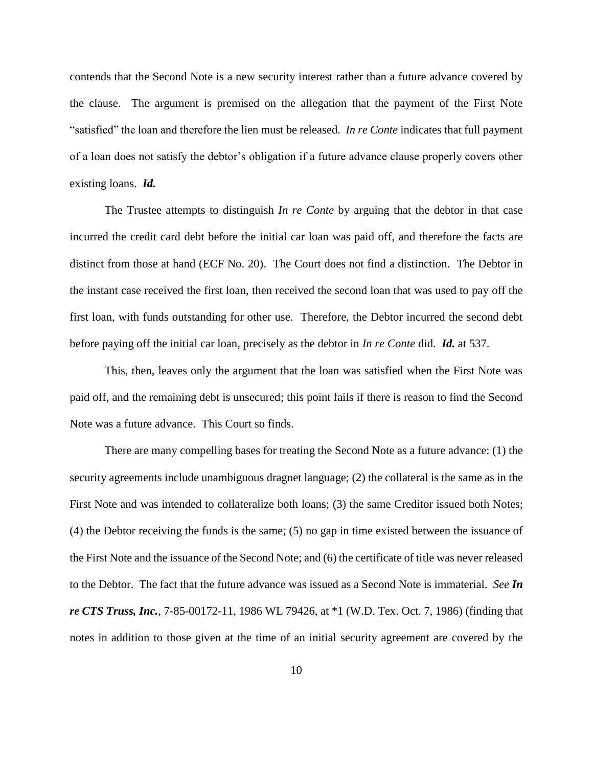contends that the Second Note is a new security interest rather than a future advance covered by the clause. The argument is premised on the allegation that the payment of the First Note "satisfied" the loan and therefore the lien must be released. *In re Conte* indicates that full payment of a loan does not satisfy the debtor's obligation if a future advance clause properly covers other existing loans. *Id.* 

The Trustee attempts to distinguish *In re Conte* by arguing that the debtor in that case incurred the credit card debt before the initial car loan was paid off, and therefore the facts are distinct from those at hand (ECF No. 20). The Court does not find a distinction. The Debtor in the instant case received the first loan, then received the second loan that was used to pay off the first loan, with funds outstanding for other use. Therefore, the Debtor incurred the second debt before paying off the initial car loan, precisely as the debtor in *In re Conte* did. *Id.* at 537.

This, then, leaves only the argument that the loan was satisfied when the First Note was paid off, and the remaining debt is unsecured; this point fails if there is reason to find the Second Note was a future advance. This Court so finds.

There are many compelling bases for treating the Second Note as a future advance: (1) the security agreements include unambiguous dragnet language; (2) the collateral is the same as in the First Note and was intended to collateralize both loans; (3) the same Creditor issued both Notes; (4) the Debtor receiving the funds is the same; (5) no gap in time existed between the issuance of the First Note and the issuance of the Second Note; and (6) the certificate of title was never released to the Debtor. The fact that the future advance was issued as a Second Note is immaterial. *See In re CTS Truss, Inc.*, 7-85-00172-11, 1986 WL 79426, at \*1 (W.D. Tex. Oct. 7, 1986) (finding that notes in addition to those given at the time of an initial security agreement are covered by the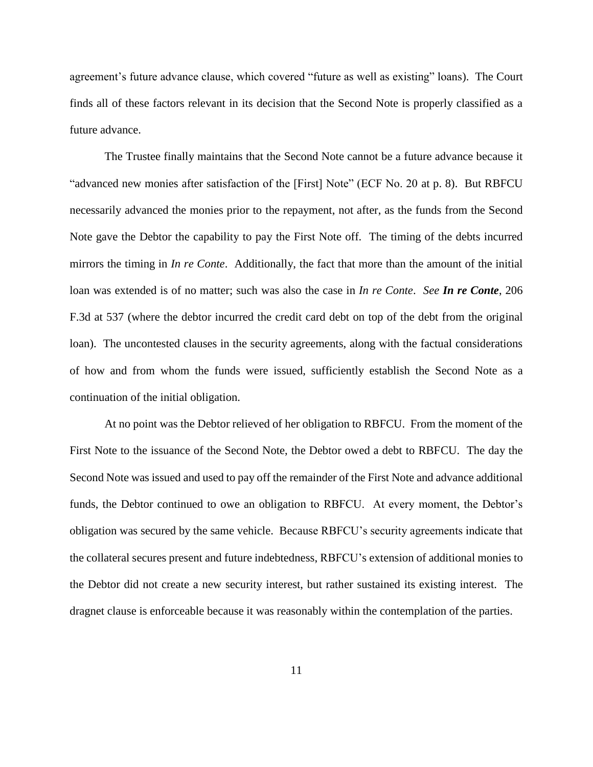agreement's future advance clause, which covered "future as well as existing" loans). The Court finds all of these factors relevant in its decision that the Second Note is properly classified as a future advance.

The Trustee finally maintains that the Second Note cannot be a future advance because it "advanced new monies after satisfaction of the [First] Note" (ECF No. 20 at p. 8). But RBFCU necessarily advanced the monies prior to the repayment, not after, as the funds from the Second Note gave the Debtor the capability to pay the First Note off. The timing of the debts incurred mirrors the timing in *In re Conte*. Additionally, the fact that more than the amount of the initial loan was extended is of no matter; such was also the case in *In re Conte*. *See In re Conte*, 206 F.3d at 537 (where the debtor incurred the credit card debt on top of the debt from the original loan). The uncontested clauses in the security agreements, along with the factual considerations of how and from whom the funds were issued, sufficiently establish the Second Note as a continuation of the initial obligation.

At no point was the Debtor relieved of her obligation to RBFCU. From the moment of the First Note to the issuance of the Second Note, the Debtor owed a debt to RBFCU. The day the Second Note was issued and used to pay off the remainder of the First Note and advance additional funds, the Debtor continued to owe an obligation to RBFCU. At every moment, the Debtor's obligation was secured by the same vehicle. Because RBFCU's security agreements indicate that the collateral secures present and future indebtedness, RBFCU's extension of additional monies to the Debtor did not create a new security interest, but rather sustained its existing interest. The dragnet clause is enforceable because it was reasonably within the contemplation of the parties.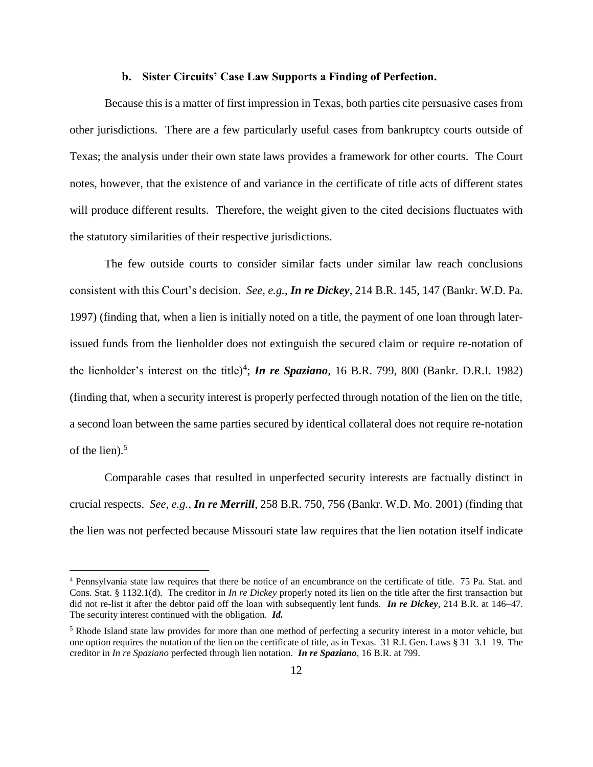### **b. Sister Circuits' Case Law Supports a Finding of Perfection.**

Because this is a matter of first impression in Texas, both parties cite persuasive cases from other jurisdictions. There are a few particularly useful cases from bankruptcy courts outside of Texas; the analysis under their own state laws provides a framework for other courts. The Court notes, however, that the existence of and variance in the certificate of title acts of different states will produce different results. Therefore, the weight given to the cited decisions fluctuates with the statutory similarities of their respective jurisdictions.

The few outside courts to consider similar facts under similar law reach conclusions consistent with this Court's decision. *See, e.g.*, *In re Dickey*, 214 B.R. 145, 147 (Bankr. W.D. Pa. 1997) (finding that, when a lien is initially noted on a title, the payment of one loan through laterissued funds from the lienholder does not extinguish the secured claim or require re-notation of the lienholder's interest on the title)<sup>4</sup>; *In re Spaziano*, 16 B.R. 799, 800 (Bankr. D.R.I. 1982) (finding that, when a security interest is properly perfected through notation of the lien on the title, a second loan between the same parties secured by identical collateral does not require re-notation of the lien). 5

Comparable cases that resulted in unperfected security interests are factually distinct in crucial respects. *See, e.g.*, *In re Merrill*, 258 B.R. 750, 756 (Bankr. W.D. Mo. 2001) (finding that the lien was not perfected because Missouri state law requires that the lien notation itself indicate

<sup>4</sup> Pennsylvania state law requires that there be notice of an encumbrance on the certificate of title. 75 Pa. Stat. and Cons. Stat. § 1132.1(d). The creditor in *In re Dickey* properly noted its lien on the title after the first transaction but did not re-list it after the debtor paid off the loan with subsequently lent funds. *In re Dickey*, 214 B.R. at 146–47. The security interest continued with the obligation. *Id.*

<sup>&</sup>lt;sup>5</sup> Rhode Island state law provides for more than one method of perfecting a security interest in a motor vehicle, but one option requires the notation of the lien on the certificate of title, as in Texas. 31 R.I. Gen. Laws § 31–3.1–19. The creditor in *In re Spaziano* perfected through lien notation. *In re Spaziano*, 16 B.R. at 799.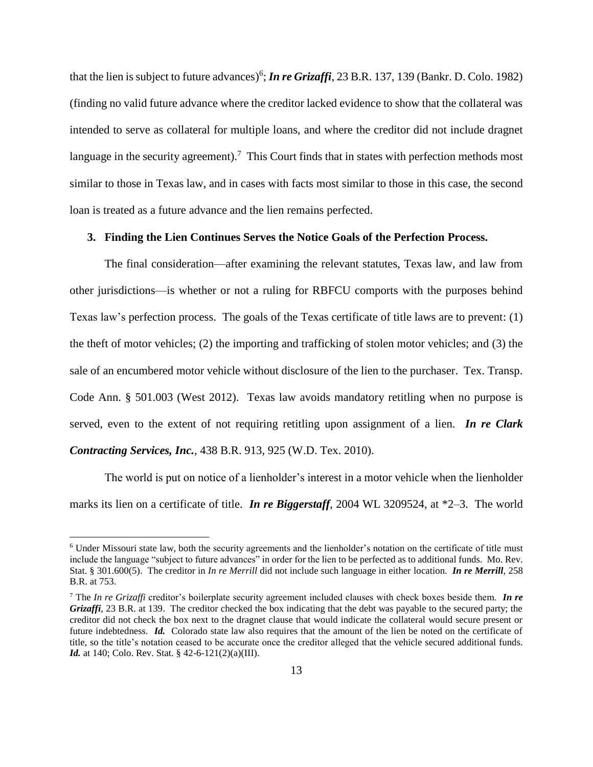that the lien is subject to future advances) 6 ; *In re Grizaffi*, 23 B.R. 137, 139 (Bankr. D. Colo. 1982) (finding no valid future advance where the creditor lacked evidence to show that the collateral was intended to serve as collateral for multiple loans, and where the creditor did not include dragnet language in the security agreement).<sup>7</sup> This Court finds that in states with perfection methods most similar to those in Texas law, and in cases with facts most similar to those in this case, the second loan is treated as a future advance and the lien remains perfected.

### **3. Finding the Lien Continues Serves the Notice Goals of the Perfection Process.**

The final consideration—after examining the relevant statutes, Texas law, and law from other jurisdictions—is whether or not a ruling for RBFCU comports with the purposes behind Texas law's perfection process. The goals of the Texas certificate of title laws are to prevent: (1) the theft of motor vehicles; (2) the importing and trafficking of stolen motor vehicles; and (3) the sale of an encumbered motor vehicle without disclosure of the lien to the purchaser. Tex. Transp. Code Ann. § 501.003 (West 2012). Texas law avoids mandatory retitling when no purpose is served, even to the extent of not requiring retitling upon assignment of a lien. *In re Clark Contracting Services, Inc.*, 438 B.R. 913, 925 (W.D. Tex. 2010).

The world is put on notice of a lienholder's interest in a motor vehicle when the lienholder marks its lien on a certificate of title. *In re Biggerstaff*, 2004 WL 3209524, at \*2–3. The world

<sup>6</sup> Under Missouri state law, both the security agreements and the lienholder's notation on the certificate of title must include the language "subject to future advances" in order for the lien to be perfected as to additional funds. Mo. Rev. Stat. § 301.600(5). The creditor in *In re Merrill* did not include such language in either location. *In re Merrill*, 258 B.R. at 753.

<sup>7</sup> The *In re Grizaffi* creditor's boilerplate security agreement included clauses with check boxes beside them. *In re Grizaffi*, 23 B.R. at 139. The creditor checked the box indicating that the debt was payable to the secured party; the creditor did not check the box next to the dragnet clause that would indicate the collateral would secure present or future indebtedness. *Id.* Colorado state law also requires that the amount of the lien be noted on the certificate of title, so the title's notation ceased to be accurate once the creditor alleged that the vehicle secured additional funds. *Id.* at 140; Colo. Rev. Stat. § 42-6-121(2)(a)(III).